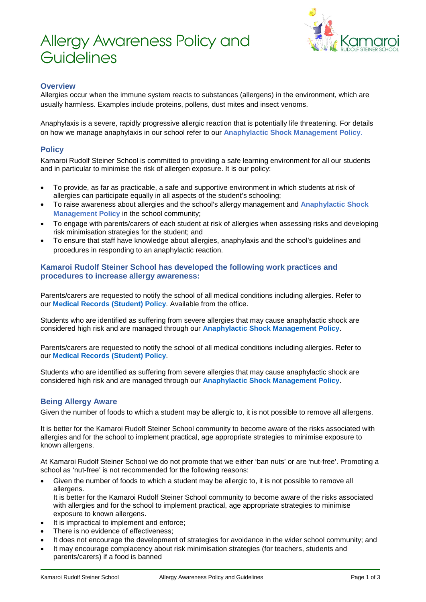# Allergy Awareness Policy and **Guidelines**



# **Overview**

Allergies occur when the immune system reacts to substances (allergens) in the environment, which are usually harmless. Examples include proteins, pollens, dust mites and insect venoms.

Anaphylaxis is a severe, rapidly progressive allergic reaction that is potentially life threatening. For details on how we manage anaphylaxis in our school refer to our **Anaphylactic Shock Management Policy**.

# **Policy**

Kamaroi Rudolf Steiner School is committed to providing a safe learning environment for all our students and in particular to minimise the risk of allergen exposure. It is our policy:

- To provide, as far as practicable, a safe and supportive environment in which students at risk of allergies can participate equally in all aspects of the student's schooling;
- To raise awareness about allergies and the school's allergy management and **Anaphylactic Shock Management Policy** in the school community;
- To engage with parents/carers of each student at risk of allergies when assessing risks and developing risk minimisation strategies for the student; and
- To ensure that staff have knowledge about allergies, anaphylaxis and the school's guidelines and procedures in responding to an anaphylactic reaction.

#### **Kamaroi Rudolf Steiner School has developed the following work practices and procedures to increase allergy awareness:**

Parents/carers are requested to notify the school of all medical conditions including allergies. Refer to our **[Medical Records \(Student\) Policy](https://kamaroi.cspace.net.au/MedicalRecordsStudent)**. Available from the office.

Students who are identified as suffering from severe allergies that may cause anaphylactic shock are considered high risk and are managed through our **[Anaphylactic Shock Management Policy](https://kamaroi.cspace.net.au/AnaphylacticShockManagement)**.

Parents/carers are requested to notify the school of all medical conditions including allergies. Refer to our **[Medical Records \(Student\) Policy](https://kamaroi.cspace.net.au/MedicalRecordsStudent)**.

Students who are identified as suffering from severe allergies that may cause anaphylactic shock are considered high risk and are managed through our **[Anaphylactic Shock Management Policy](https://kamaroi.cspace.net.au/AnaphylacticShockManagement)**.

# **Being Allergy Aware**

Given the number of foods to which a student may be allergic to, it is not possible to remove all allergens.

It is better for the Kamaroi Rudolf Steiner School community to become aware of the risks associated with allergies and for the school to implement practical, age appropriate strategies to minimise exposure to known allergens.

At Kamaroi Rudolf Steiner School we do not promote that we either 'ban nuts' or are 'nut-free'. Promoting a school as 'nut-free' is not recommended for the following reasons:

• Given the number of foods to which a student may be allergic to, it is not possible to remove all allergens.

It is better for the Kamaroi Rudolf Steiner School community to become aware of the risks associated with allergies and for the school to implement practical, age appropriate strategies to minimise exposure to known allergens.

- It is impractical to implement and enforce:
- There is no evidence of effectiveness:
- It does not encourage the development of strategies for avoidance in the wider school community; and
- It may encourage complacency about risk minimisation strategies (for teachers, students and parents/carers) if a food is banned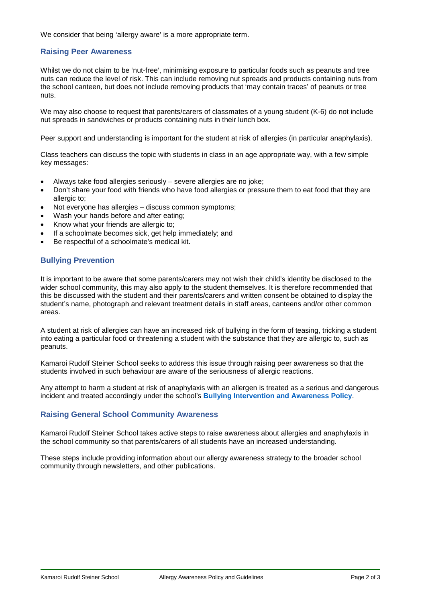We consider that being 'allergy aware' is a more appropriate term.

#### **Raising Peer Awareness**

Whilst we do not claim to be 'nut-free', minimising exposure to particular foods such as peanuts and tree nuts can reduce the level of risk. This can include removing nut spreads and products containing nuts from the school canteen, but does not include removing products that 'may contain traces' of peanuts or tree nuts.

We may also choose to request that parents/carers of classmates of a young student (K-6) do not include nut spreads in sandwiches or products containing nuts in their lunch box.

Peer support and understanding is important for the student at risk of allergies (in particular anaphylaxis).

Class teachers can discuss the topic with students in class in an age appropriate way, with a few simple key messages:

- Always take food allergies seriously severe allergies are no joke;
- Don't share your food with friends who have food allergies or pressure them to eat food that they are allergic to;
- Not everyone has allergies discuss common symptoms;
- Wash your hands before and after eating;
- Know what your friends are allergic to:
- If a schoolmate becomes sick, get help immediately; and
- Be respectful of a schoolmate's medical kit.

# **Bullying Prevention**

It is important to be aware that some parents/carers may not wish their child's identity be disclosed to the wider school community, this may also apply to the student themselves. It is therefore recommended that this be discussed with the student and their parents/carers and written consent be obtained to display the student's name, photograph and relevant treatment details in staff areas, canteens and/or other common areas.

A student at risk of allergies can have an increased risk of bullying in the form of teasing, tricking a student into eating a particular food or threatening a student with the substance that they are allergic to, such as peanuts.

Kamaroi Rudolf Steiner School seeks to address this issue through raising peer awareness so that the students involved in such behaviour are aware of the seriousness of allergic reactions.

Any attempt to harm a student at risk of anaphylaxis with an allergen is treated as a serious and dangerous incident and treated accordingly under the school's **Bullying Intervention and Awareness Policy**.

#### **Raising General School Community Awareness**

Kamaroi Rudolf Steiner School takes active steps to raise awareness about allergies and anaphylaxis in the school community so that parents/carers of all students have an increased understanding.

These steps include providing information about our allergy awareness strategy to the broader school community through newsletters, and other publications.